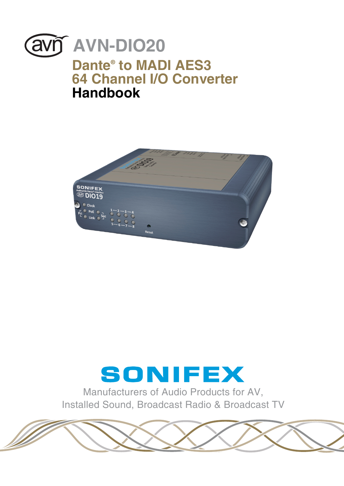<span id="page-0-0"></span>



# SONIFEX

Manufacturers of Audio Products for AV, Installed Sound, Broadcast Radio & Broadcast TV

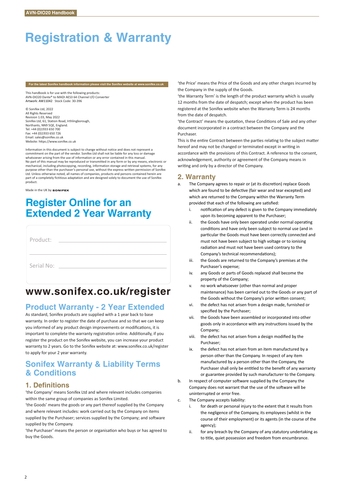# **Registration & Warranty**

#### **For the latest Sonifex handbook information please visit the Sonifex w**

This handbook is for use with the following products: AVN-DIO20 Dante® to MADI AES3 64 Channel I/O Converter Artwork: AW11042 Stock Code: 30-396

© Sonifex Ltd, 2022 All Rights Reserved Revision 1.03, May 2022 Sonifex Ltd, 61, Station Road, Irthlingborough, Northants, NN9 5OF, England. Tel: +44 (0)1933 650 700 Fax: +44 (0)1933 650 726 Email: sales@sonifex.co.uk Website: https://www.sonifex.co.uk

Information in this document is subject to change without notice and does not represent a commitment on the part of the vendor. Sonifex Ltd shall not be liable for any loss or damage whatsoever arising from the use of information or any error contained in this manual. No part of this manual may be reproduced or transmitted in any form or by any means, electronic or mechanical, including photocopying, recording, information storage and retrieval systems, for any<br>purpose other than the purchaser's personal use, without the express written permission of Sonifes<br>Ltd. Unless otherwise not part of a completely fictitious adaptation and are designed solely to document the use of Sonifex product.

Made in the UK by sonIFEX

# **Register Online for an Extended 2 Year Warranty**

| Product:   |  |  |
|------------|--|--|
|            |  |  |
| Serial No: |  |  |
|            |  |  |

# **www.sonifex.co.uk/register**

# **Product Warranty - 2 Year Extended**

As standard, Sonifex products are supplied with a 1 year back to base warranty. In order to register the date of purchase and so that we can keep you informed of any product design improvements or modifications, it is important to complete the warranty registration online. Additionally, if you register the product on the Sonifex website, you can increase your product warranty to 2 years. Go to the Sonifex website at: www.sonifex.co.uk/register to apply for your 2 year warranty.

# **Sonifex Warranty & Liability Terms & Conditions**

#### **1. Definitions**

'the Company' means Sonifex Ltd and where relevant includes companies within the same group of companies as Sonifex Limited.

'the Goods' means the goods or any part thereof supplied by the Company and where relevant includes: work carried out by the Company on items supplied by the Purchaser; services supplied by the Company; and software supplied by the Company.

'the Purchaser' means the person or organisation who buys or has agreed to buy the Goods.

'the Price' means the Price of the Goods and any other charges incurred by the Company in the supply of the Goods.

'the Warranty Term' is the length of the product warranty which is usually 12 months from the date of despatch; except when the product has been registered at the Sonifex website when the Warranty Term is 24 months from the date of despatch.

'the Contract' means the quotation, these Conditions of Sale and any other document incorporated in a contract between the Company and the Purchaser.

This is the entire Contract between the parties relating to the subject matter hereof and may not be changed or terminated except in writing in accordance with the provisions of this Contract. A reference to the consent, acknowledgement, authority or agreement of the Company means in writing and only by a director of the Company.

## **2. Warranty**

- a. The Company agrees to repair or (at its discretion) replace Goods which are found to be defective (fair wear and tear excepted) and which are returned to the Company within the Warranty Term provided that each of the following are satisfied:
	- i. notification of any defect is given to the Company immediately upon its becoming apparent to the Purchaser;
	- ii. the Goods have only been operated under normal operating conditions and have only been subject to normal use (and in particular the Goods must have been correctly connected and must not have been subject to high voltage or to ionising radiation and must not have been used contrary to the Company's technical recommendations);
	- iii. the Goods are returned to the Company's premises at the Purchaser's expense;
	- iv. any Goods or parts of Goods replaced shall become the property of the Company;
	- v. no work whatsoever (other than normal and proper maintenance) has been carried out to the Goods or any part of the Goods without the Company's prior written consent;
	- vi. the defect has not arisen from a design made, furnished or specified by the Purchaser;
	- vii. the Goods have been assembled or incorporated into other goods only in accordance with any instructions issued by the Company;
	- viii. the defect has not arisen from a design modified by the Purchaser;
	- ix. the defect has not arisen from an item manufactured by a person other than the Company. In respect of any item manufactured by a person other than the Company, the Purchaser shall only be entitled to the benefit of any warranty or guarantee provided by such manufacturer to the Company.
- b. In respect of computer software supplied by the Company the Company does not warrant that the use of the software will be uninterrupted or error free.
- c. The Company accepts liability:
	- i. for death or personal injury to the extent that it results from the negligence of the Company, its employees (whilst in the course of their employment) or its agents (in the course of the agency);
	- ii. for any breach by the Company of any statutory undertaking as to title, quiet possession and freedom from encumbrance.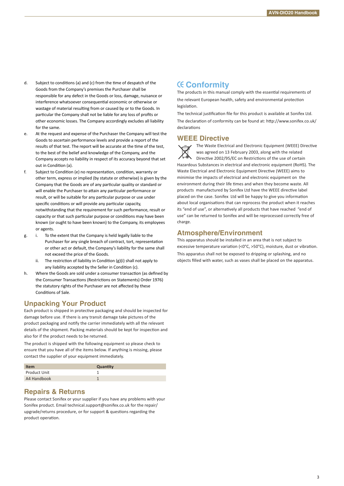- d. Subject to conditions (a) and (c) from the time of despatch of the Goods from the Company's premises the Purchaser shall be responsible for any defect in the Goods or loss, damage, nuisance or interference whatsoever consequen�al economic or otherwise or wastage of material resulting from or caused by or to the Goods. In particular the Company shall not be liable for any loss of profits or other economic losses. The Company accordingly excludes all liability for the same.
- e. At the request and expense of the Purchaser the Company will test the Goods to ascertain performance levels and provide a report of the results of that test. The report will be accurate at the time of the test, to the best of the belief and knowledge of the Company, and the Company accepts no liability in respect of its accuracy beyond that set out in Condition (a).
- f. Subject to Condition (e) no representation, condition, warranty or other term, express or implied (by statute or otherwise) is given by the Company that the Goods are of any par�cular quality or standard or will enable the Purchaser to attain any particular performance or result, or will be suitable for any particular purpose or use under specific conditions or will provide any particular capacity, notwithstanding that the requirement for such performance, result or capacity or that such particular purpose or conditions may have been known (or ought to have been known) to the Company, its employees or agents.
- g. i. To the extent that the Company is held legally liable to the Purchaser for any single breach of contract, tort, representation or other act or default, the Company's liability for the same shall not exceed the price of the Goods.
	- ii. The restriction of liability in Condition  $(g)(i)$  shall not apply to any liability accepted by the Seller in Condition (c).
- h. Where the Goods are sold under a consumer transaction (as defined by the Consumer Transactions (Restrictions on Statements) Order 1976) the statutory rights of the Purchaser are not affected by these Conditions of Sale.

# **Unpacking Your Product**

Each product is shipped in protective packaging and should be inspected for damage before use. If there is any transit damage take pictures of the product packaging and no�fy the carrier immediately with all the relevant details of the shipment. Packing materials should be kept for inspection and also for if the product needs to be returned.

The product is shipped with the following equipment so please check to ensure that you have all of the items below. If anything is missing, please contact the supplier of your equipment immediately.

| <b>Item</b>  | Quantity |
|--------------|----------|
| Product Unit |          |
| A4 Handbook  |          |

### **Repairs & Returns**

Please contact Sonifex or your supplier if you have any problems with your Sonifex product. Email technical.support@sonifex.co.uk for the repair/ upgrade/returns procedure, or for support & questions regarding the product operation.

# **Conformity**

The products in this manual comply with the essential requirements of the relevant European health, safety and environmental protection legislation.

The technical justification file for this product is available at Sonifex Ltd. The declaration of conformity can be found at: http://www.sonifex.co.uk/ declarations

### **WEEE Directive**

The Waste Electrical and Electronic Equipment (WEEE) Directive was agreed on 13 February 2003, along with the related Directive 2002/95/EC on Restrictions of the use of certain Hazardous Substances in electrical and electronic equipment (RoHS). The Waste Electrical and Electronic Equipment Directive (WEEE) aims to minimise the impacts of electrical and electronic equipment on the environment during their life times and when they become waste. All products manufactured by Sonifex Ltd have the WEEE directive label placed on the case. Sonifex Ltd will be happy to give you information about local organisations that can reprocess the product when it reaches its "end of use", or alternatively all products that have reached "end of use" can be returned to Sonifex and will be reprocessed correctly free of charge.

### **Atmosphere/Environment**

This apparatus should be installed in an area that is not subject to excessive temperature variation (<0°C, >50°C), moisture, dust or vibration. This apparatus shall not be exposed to dripping or splashing, and no objects filled with water, such as vases shall be placed on the apparatus.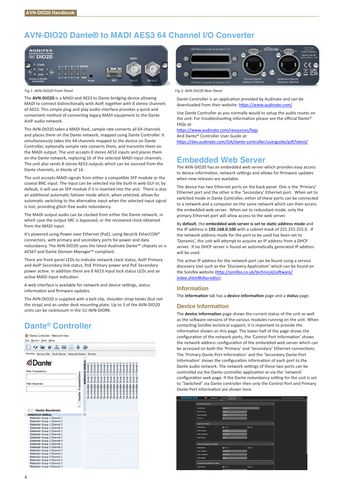# **AVN-DIO20 Dante® to MADI AES3 64 Channel I/O Converter**



#### *Fig 1: AVN-DIO20 Front Panel Fig 2: AVN-DIO20 Rear Panel*

The **AVN-DIO20** is a MADI and AES3 to Dante bridging device allowing MADI to connect bidirectionally with AoIP, together with 8 stereo channels of AES3. This simple plug and play audio interface provides a quick and convenient method of connecting legacy MADI equipment to the Dante AoIP audio network.

The AVN-DIO20 takes a MADI feed, sample rate converts all 64 channels and places them on the Dante network, mapped using Dante Controller. It simultaneously takes the 64 channels mapped to the device on Dante Controller, optionally sample rate converts them, and transmits them on the MADI output. The unit accepts 8 stereo AES3 inputs and places them on the Dante network, replacing 16 of the selected MADI input channels. The unit also sends 8 stereo AES3 outputs which can be sourced from the Dante channels, in blocks of 16.

The unit accepts MADI signals from either a compatible SFP module or the coaxial BNC input. The input can be selected via the built-in web GUI or, by default, it will use an SFP module if it is inserted into the unit. There is also an additional automatic failover mode which, when selected, allows for automatic switching to the alternative input when the selected input signal is lost, providing glitch free audio redundancy.

The MADI output audio can be clocked from either the Dante network, in which case the output SRC is bypassed, or the recovered clock obtained from the MADI input.

It's powered using Power over Ethernet (PoE), using Neutrik EtherCON® connectors, with primary and secondary ports for power and data redundancy. The AVN-DIO20 uses the latest Audinate Dante™ chipsets so is AES67 and Dante Domain Manager™ compliant.

There are front panel LEDs to indicate network clock status, AoIP Primary and AoIP Secondary link status, PoE Primary power and PoE Secondary power active. In addition there are 8 AES3 input lock status LEDs and an active MADI input indication.

A web interface is available for network and device settings, status information and firmware undates.

The AVN-DIO20 is supplied with a belt-clip, shoulder strap hooks (but not the strap) and an under desk mounting plate. Up to 3 of the AVN-DIO20 units can be rackmount in the 1U AVN-DIORK.

# **Dante® Controller**





Dante Controller is an application provided by Audinate and can be downloaded from their website: https://www.audinate.com/

Use Dante Controller as you normally would to setup the audio routes on the unit. For troubleshooting information please see the official Dante® FAQs at:

https://www.audinate.com/resources/faqs

[And Dante® Controller User Guide at:](https://www.audinate.com/resources/faqs)

https://dev.audinate.com/GA/dante-controller/userguide/pdf/latest/

# **Embedded Web Server**

The AVN-DIO20 has an embedded web server which provides easy access to device information, network settings and allows for firmware updates when new releases are available.

The device has two Ethernet ports on the back panel. One is the 'Primary' Ethernet port and the other is the 'Secondary' Ethernet port. When set to switched mode in Dante Controller, either of these ports can be connected to a network and a computer on the same network which can then access the embedded web server. When set to redundant mode, only the primary Ethernet port will allow access to the web server.

By **default**, the **embedded web server is set to sta�c address mode** and the IP address is **192.168.0.100** with a subnet mask of 255.255.255.0. If the network address mode for the port to be used has been set to 'Dynamic', the unit will attempt to acquire an IP address from a DHCP server. If no DHCP server is found an automatically generated IP address will be used.

The active IP address for the network port can be found using a service discovery tool such as the 'Discovery Application' which can be found on the Sonifex website (http://sonifex.co.uk/technical/software/ [index.shtml#sfxsrvdisc\)](#page-0-0).

#### **Information**

The **Informa�on** tab has a **device informa�on** page and a **status** page.

#### **Device Information**

The **device information** page shows the current status of the unit as well as the software versions of the various modules running on the unit. When contacting Sonifex technical support, it is important to provide the information shown on this page. The lower half of the page shows the configuration of the network ports; the 'Control Port Information' shows the network address configuration of the embedded web server which can be accessed on both the 'Primary' and 'Secondary' Ethernet connections. The 'Primary Dante Port Information' and the 'Secondary Dante Port Information' shows the configuration information of each port to the Dante audio network. The network settings of these two ports can be controlled via the Dante controller application or via the 'network' configuration web page. If the Dante redundancy setting for the unit is set to "Switched" via Dante controller then only the Control Port and Primary Dante Port Information are shown here.

| <b>SONIFEX</b> | $\infty$<br>AWDO934                   | Information Configuration 3ystem |           | WINDOWS COURSE TO DURING THE EXCHANGED HARVEST COMPANY. |
|----------------|---------------------------------------|----------------------------------|-----------|---------------------------------------------------------|
|                |                                       | <b>Single A</b>                  |           |                                                         |
|                | <b>Draice Name &amp; Security</b>     |                                  |           |                                                         |
|                | <b>Friendy Name</b>                   | ANN CORRE-O                      |           |                                                         |
|                | New Password.                         |                                  |           |                                                         |
|                | <b>Retype Password</b>                |                                  |           |                                                         |
|                | <b>HTTP Port</b>                      | ٠                                |           |                                                         |
|                | Control Port Settings                 |                                  |           |                                                         |
|                | <b>Address Mode:</b>                  | <b>O</b> Dyrans                  | $①$ time. |                                                         |
|                | <b>Static P Address</b>               | <b>393 148 8 180</b>             |           |                                                         |
|                | <b>Static Submit Mark:</b>            | <b>THE JUNE JOINT</b>            |           |                                                         |
|                | Static Galeway:                       | <b>RAAR</b>                      |           |                                                         |
|                | Primary Dante Network Port Settings   |                                  |           |                                                         |
|                | Address Mode:                         | <b>O</b> Dyramic                 | @ State   |                                                         |
|                | Static P Address:                     | 793.000.0.181                    |           |                                                         |
|                | Static Submit Mask:                   | 255.255.255.0                    |           |                                                         |
|                | <b>Static Galeway</b>                 | EAAA                             |           |                                                         |
|                | Secondary Dante Network Port Settings |                                  |           |                                                         |
|                | <b>Address Node:</b>                  | <b>O</b> Dynamic                 | @ Suic    |                                                         |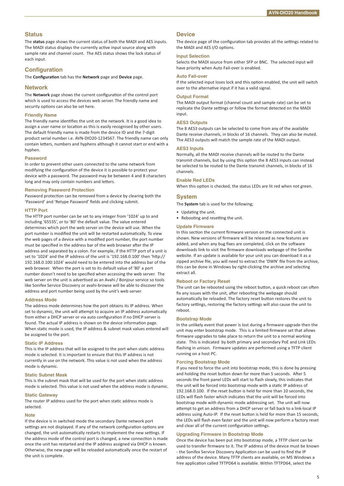#### **Status**

The **status** page shows the current status of both the MADI and AES inputs. The MADI status displays the currently active input source along with sample rate and channel count. The AES status shows the lock status of each input.

#### **Configuration**

The **Configuration** tab has the **Network** page and **Device** page.

#### **Network**

The **Network** page shows the current configuration of the control port which is used to access the devices web server. The friendly name and security options can also be set here.

#### **Friendly Name**

The friendly name identifies the unit on the network. It is a good idea to assign a user name or location as this is easily recognised by other users. The default friendly name is made from the device ID and the 7-digit product serial number i.e. AVN-DIO20-1234567. The friendly name can only contain letters, numbers and hyphens although it cannot start or end with a hyphen.

#### **Password**

In order to prevent other users connected to the same network from modifying the configuration of the device it is possible to protect your device with a password. The password may be between 4 and 8 characters long and may only contain numbers and letters.

#### **Removing Password Protection**

Password protection can be removed from a device by clearing both the 'Password' and 'Retype Password' fields and clicking submit.

#### **HTTP Port**

The HTTP port number can be set to any integer from '1024' up to and including '65535', or to '80' the default value. The value entered determines which port the web server on the device will use. When the port number is modified the unit will be restarted automatically. To view the web pages of a device with a modified port number, the port number must be specified in the address bar of the web browser after the IP address and separated by a colon. For example, if the HTTP port of a unit is set to '1024' and the IP address of the unit is '192.168.0.100' then 'http:// 192.168.0.100:1024' would need to be entered into the address bar of the web browser. When the port is set to its default value of '80' a port number doesn't need to be specified when accessing the web server. The web server on the unit is advertised as an Avahi / Bonjour service so tools like Sonifex Service Discovery or avahi-browse will be able to discover the address and port number being used by the unit's web server.

#### **Address Mode**

The address mode determines how the port obtains its IP address. When set to dynamic, the unit will attempt to acquire an IP address automatically from either a DHCP server or via auto configuration if no DHCP server is found. The actual IP address is shown on the device information page. When static mode is used, the IP address & subnet mask values entered will be assigned to the port.

#### **Static IP Address**

This is the IP address that will be assigned to the port when static address mode is selected. It is important to ensure that this IP address is not currently in use on the network. This value is not used when the address mode is dynamic.

#### **Static Subnet Mask**

This is the subnet mask that will be used for the port when static address mode is selected. This value is not used when the address mode is dynamic.

#### **Static Gateway**

The router IP address used for the port when static address mode is selected.

#### **Note**

If the device is in switched mode the secondary Dante network port settings are not displayed. If any of the network configuration options are changed, the unit automatically restarts to implement the new settings. If the address mode of the control port is changed, a new connection is made once the unit has restarted and the IP address assigned via DHCP is known. Otherwise, the new page will be reloaded automatically once the restart of the unit is complete.

#### **Device**

The device page of the configuration tab provides all the settings related to the MADI and AES I/O options.

#### **Input Selection**

Selects the MADI source from either SFP or BNC. The selected input will have priority when Auto Fail-over is enabled.

#### **Auto Fail-over**

If the selected input loses lock and this option enabled, the unit will switch over to the alternative input if it has a valid signal.

#### **Output Format**

The MADI output format (channel count and sample rate) can be set to replicate the Dante settings or follow the format detected on the MADI input.

#### **AES3 Outputs**

The 8 AES3 outputs can be selected to come from any of the available Dante receive channels, in blocks of 16 channels. They can also be muted. The AES3 outputs will match the sample rate of the MADI output.

#### **AES3 Inputs**

Normally, all the MADI receive channels will be routed to the Dante transmit channels, but by using this option the 8 AES3 inputs can instead be selected to be routed to the Dante transmit channels, in blocks of 16 channels.

#### **Enable Red LEDs**

When this option is checked, the status LEDs are lit red when not green.

#### **System**

The **System** tab is used for the following;

- Updating the unit.
- Rebooting and resetting the unit.

#### **Update Firmware**

In this section the current firmware version on the connected unit is shown. New versions of firmware will be released as new features are added, and when any bug fixes are completed, click on the software downloads link to visit the firmware downloads webpage of the Sonifex website. If an update is available for your unit you can download it as a zipped archive file, you will need to extract the 'DWN' file from the archive, this can be done in Windows by right-clicking the archive and selecting extract all.

#### **Reboot or Factory Reset**

The unit can be rebooted using the reboot button, a quick reboot can often fix any issues with the unit, after rebooting the webpage should automatically be reloaded. The factory reset button restores the unit to factory settings, restoring the factory settings will also cause the unit to reboot.

#### **Bootstrap Mode**

In the unlikely event that power is lost during a firmware upgrade then the unit may enter bootstrap mode. This is a limited firmware set that allows firmware upgrades to take place to return the unit to a normal working state. This is indicated by both primary and secondary PoE and Link LEDs flashing in unison. Firmware updates are performed using a TFTP client running on a host PC.

#### **Forcing Bootstrap Mode**

If you need to force the unit into bootstrap mode, this is done by pressing and holding the reset button down for more than 5 seconds. After 5 seconds the front panel LEDs will start to flash slowly, this indicates that the unit will be forced into bootstrap mode with a static IP address of 192.168.0.100. If the reset button is held for more than 10 seconds, the LEDs will flash faster which indicates that the unit will be forced into bootstrap mode with dynamic mode addressing set. The unit will now attempt to get an address from a DHCP server or fall back to a link-local IP address using Auto-IP. If the reset button is held for more than 15 seconds, the LEDs will flash even faster and the unit will now perform a factory reset and clear all of the current configuration settings.

#### **Upgrading Firmware in Bootstrap Mode**

Once the device has been put into bootstrap mode, a TFTP client can be used to transfer firmware to it. The IP address of the device must be known - the Sonifex Service Discovery Application can be used to find the IP address of the device. Many TFTP clients are available, on MS Windows a free application called TFTPD64 is available. Within TFTPD64, select the